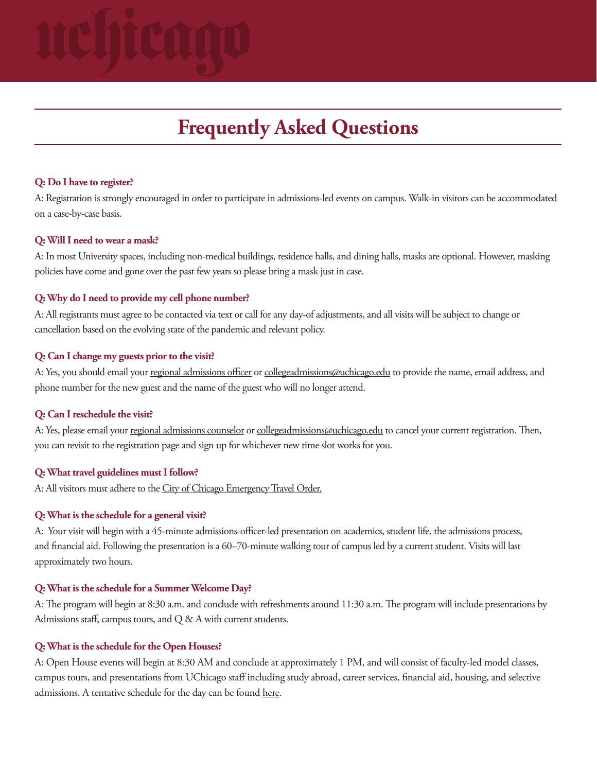# **Frequently Asked Questions**

# **Q: Do I have to register?**

A: Registration is strongly encouraged in order to participate in admissions-led events on campus. Walk-in visitors can be accommodated on a case-by-case basis.

#### **Q: Will I need to wear a mask?**

A: In most University spaces, including non-medical buildings, residence halls, and dining halls, masks are optional. However, masking policies have come and gone over the past few years so please bring a mask just in case.

# **Q: Why do I need to provide my cell phone number?**

A: All registrants must agree to be contacted via text or call for any day-of adjustments, and all visits will be subject to change or cancellation based on the evolving state of the pandemic and relevant policy.

### **Q: Can I change my guests prior to the visit?**

A: Yes, you should email your [regional admissions officer](https://collegeadmissions.uchicago.edu/contact) or collegeadmissions@uchicago.edu to provide the name, email address, and phone number for the new guest and the name of the guest who will no longer attend.

# **Q: Can I reschedule the visit?**

A: Yes, please email your [regional admissions counselor](https://collegeadmissions.uchicago.edu/contact) or collegeadmissions@uchicago.edu to cancel your current registration. Then, you can revisit to the registration page and sign up for whichever new time slot works for you.

# **Q: What travel guidelines must I follow?**

A: All visitors must adhere to the [City of Chicago Emergency Travel Order.](https://www.chicago.gov/city/en/sites/covid-19/home/emergency-travel-order.html)

# **Q: What is the schedule for a general visit?**

A: Your visit will begin with a 45-minute admissions-officer-led presentation on academics, student life, the admissions process, and financial aid. Following the presentation is a 60–70-minute walking tour of campus led by a current student. Visits will last approximately two hours.

### **Q: What is the schedule for a Summer Welcome Day?**

A: The program will begin at 8:30 a.m. and conclude with refreshments around 11:30 a.m. The program will include presentations by Admissions staff, campus tours, and Q & A with current students.

#### **Q: What is the schedule for the Open Houses?**

A: Open House events will begin at 8:30 AM and conclude at approximately 1 PM, and will consist of faculty-led model classes, campus tours, and presentations from UChicago staff including study abroad, career services, financial aid, housing, and selective admissions. A tentative schedule for the day can be found [here](https://collegeadmissions.uchicago.edu/files/documents/spring-open-house-2022.pdf).